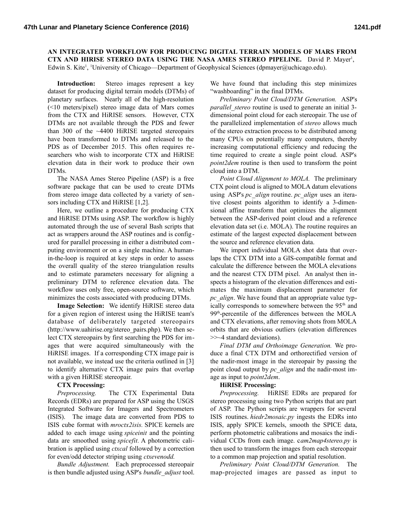**AN INTEGRATED WORKFLOW FOR PRODUCING DIGITAL TERRAIN MODELS OF MARS FROM CTX AND HIRISE STEREO DATA USING THE NASA AMES STEREO PIPELINE.** David P. Mayer<sup>1</sup>, Edwin S. Kite<sup>1</sup>, <sup>1</sup>University of Chicago—Department of Geophysical Sciences (dpmayer@uchicago.edu).

**Introduction:** Stereo images represent a key dataset for producing digital terrain models (DTMs) of planetary surfaces. Nearly all of the high-resolution (<10 meters/pixel) stereo image data of Mars comes from the CTX and HiRISE sensors. However, CTX DTMs are not available through the PDS and fewer than 300 of the ~4400 HiRISE targeted stereopairs have been transformed to DTMs and released to the PDS as of December 2015. This often requires researchers who wish to incorporate CTX and HiRISE elevation data in their work to produce their own DTMs.

The NASA Ames Stereo Pipeline (ASP) is a free software package that can be used to create DTMs from stereo image data collected by a variety of sensors including CTX and HiRISE [1,2].

Here, we outline a procedure for producing CTX and HiRISE DTMs using ASP. The workflow is highly automated through the use of several Bash scripts that act as wrappers around the ASP routines and is configured for parallel processing in either a distributed computing environment or on a single machine. A humanin-the-loop is required at key steps in order to assess the overall quality of the stereo triangulation results and to estimate parameters necessary for aligning a preliminary DTM to reference elevation data. The workflow uses only free, open-source software, which minimizes the costs associated with producing DTMs.

**Image Selection:** We identify HiRISE stereo data for a given region of interest using the HiRISE team's database of deliberately targeted stereopairs (http://www.uahirise.org/stereo\_pairs.php). We then select CTX stereopairs by first searching the PDS for images that were acquired simultaneously with the HiRISE images. If a corresponding CTX image pair is not available, we instead use the criteria outlined in [3] to identify alternative CTX image pairs that overlap with a given HiRISE stereopair.

## **CTX Processing:**

*Preprocessing.* The CTX Experimental Data Records (EDRs) are prepared for ASP using the USGS Integrated Software for Imagers and Spectrometers (ISIS). The image data are converted from PDS to ISIS cube format with *mroctx2isis.* SPICE kernels are added to each image using *spiceinit* and the pointing data are smoothed using *spicefit.* A photometric calibration is applied using *ctxcal* followed by a correction for even/odd detector striping using *ctxevenodd.*

*Bundle Adjustment.* Each preprocessed stereopair is then bundle adjusted using ASP's *bundle\_adjust* tool. We have found that including this step minimizes "washboarding" in the final DTMs.

*Preliminary Point Cloud/DTM Generation.* ASP's *parallel\_stereo* routine is used to generate an initial 3 dimensional point cloud for each stereopair. The use of the parallelized implementation of *stereo* allows much of the stereo extraction process to be distributed among many CPUs on potentially many computers, thereby increasing computational efficiency and reducing the time required to create a single point cloud. ASP's *point2dem* routine is then used to transform the point cloud into a DTM.

*Point Cloud Alignment to MOLA.* The preliminary CTX point cloud is aligned to MOLA datum elevations using ASP's *pc\_align* routine. *pc\_align* uses an iterative closest points algorithm to identify a 3-dimensional affine transform that optimizes the alignment between the ASP-derived point cloud and a reference elevation data set (i.e. MOLA). The routine requires an estimate of the largest expected displacement between the source and reference elevation data.

We import individual MOLA shot data that overlaps the CTX DTM into a GIS-compatible format and calculate the difference between the MOLA elevations and the nearest CTX DTM pixel. An analyst then inspects a histogram of the elevation differences and estimates the maximum displacement parameter for *pc\_align*. We have found that an appropriate value typically corresponds to somewhere between the 95<sup>th</sup> and 99<sup>th</sup>-percentile of the differences between the MOLA and CTX elevations, after removing shots from MOLA orbits that are obvious outliers (elevation differences >>~4 standard deviations).

*Final DTM and Orthoimage Generation.* We produce a final CTX DTM and orthorectified version of the nadir-most image in the stereopair by passing the point cloud output by *pc\_align* and the nadir-most image as input to *point2dem*.

## **HiRISE Processing:**

*Preprocessing.* HiRISE EDRs are prepared for stereo processing using two Python scripts that are part of ASP. The Python scripts are wrappers for several ISIS routines. *hiedr2mosaic.py* ingests the EDRs into ISIS, apply SPICE kernels, smooth the SPICE data, perform photometric calibrations and mosaics the individual CCDs from each image. c*am2map4stereo.py* is then used to transform the images from each stereopair to a common map projection and spatial resolution.

*Preliminary Point Cloud/DTM Generation.* The map-projected images are passed as input to